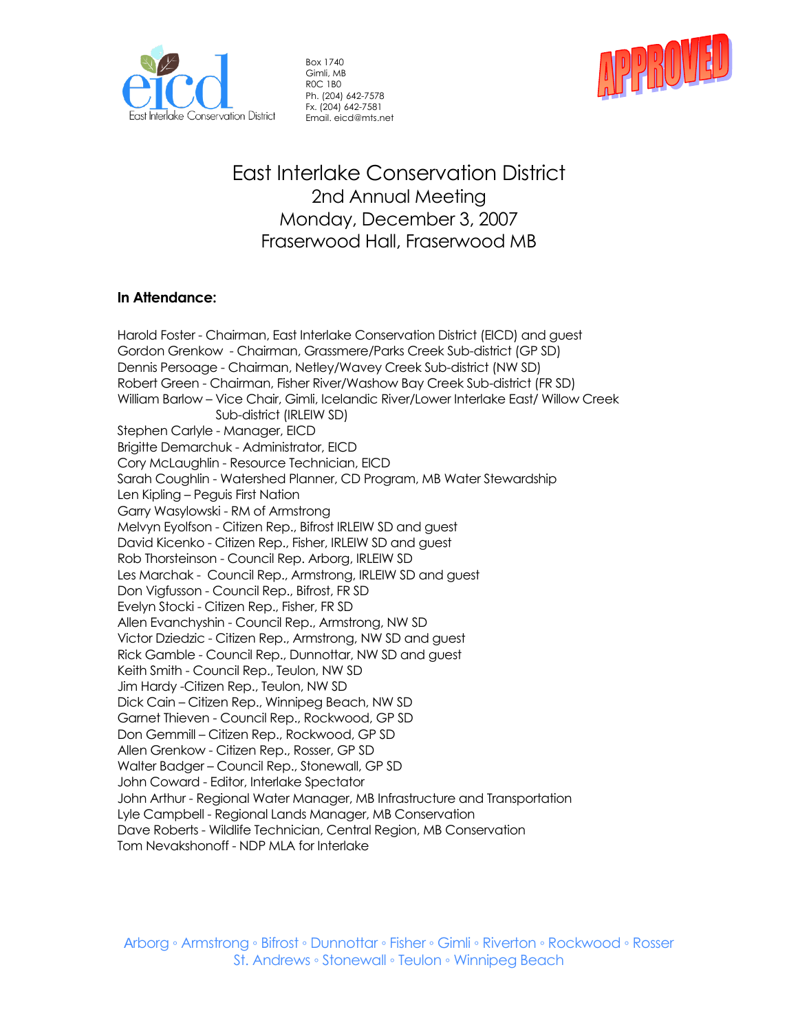

Box 1740 Gimli, MB R0C 1B0 Ph. (204) 642-7578 Fx. (204) 642-7581 Email. eicd@mts.net



East Interlake Conservation District 2nd Annual Meeting Monday, December 3, 2007 Fraserwood Hall, Fraserwood MB

# **In Attendance:**

Harold Foster - Chairman, East Interlake Conservation District (EICD) and guest Gordon Grenkow - Chairman, Grassmere/Parks Creek Sub-district (GP SD) Dennis Persoage - Chairman, Netley/Wavey Creek Sub-district (NW SD) Robert Green - Chairman, Fisher River/Washow Bay Creek Sub-district (FR SD) William Barlow – Vice Chair, Gimli, Icelandic River/Lower Interlake East/ Willow Creek Sub-district (IRLEIW SD) Stephen Carlyle - Manager, EICD Brigitte Demarchuk - Administrator, EICD Cory McLaughlin - Resource Technician, EICD Sarah Coughlin - Watershed Planner, CD Program, MB Water Stewardship Len Kipling – Peguis First Nation Garry Wasylowski - RM of Armstrong Melvyn Eyolfson - Citizen Rep., Bifrost IRLEIW SD and guest David Kicenko - Citizen Rep., Fisher, IRLEIW SD and guest Rob Thorsteinson - Council Rep. Arborg, IRLEIW SD Les Marchak - Council Rep., Armstrong, IRLEIW SD and guest Don Vigfusson - Council Rep., Bifrost, FR SD Evelyn Stocki - Citizen Rep., Fisher, FR SD Allen Evanchyshin - Council Rep., Armstrong, NW SD Victor Dziedzic - Citizen Rep., Armstrong, NW SD and guest Rick Gamble - Council Rep., Dunnottar, NW SD and guest Keith Smith - Council Rep., Teulon, NW SD Jim Hardy -Citizen Rep., Teulon, NW SD Dick Cain – Citizen Rep., Winnipeg Beach, NW SD Garnet Thieven - Council Rep., Rockwood, GP SD Don Gemmill – Citizen Rep., Rockwood, GP SD Allen Grenkow - Citizen Rep., Rosser, GP SD Walter Badger – Council Rep., Stonewall, GP SD John Coward - Editor, Interlake Spectator John Arthur - Regional Water Manager, MB Infrastructure and Transportation Lyle Campbell - Regional Lands Manager, MB Conservation Dave Roberts - Wildlife Technician, Central Region, MB Conservation Tom Nevakshonoff - NDP MLA for Interlake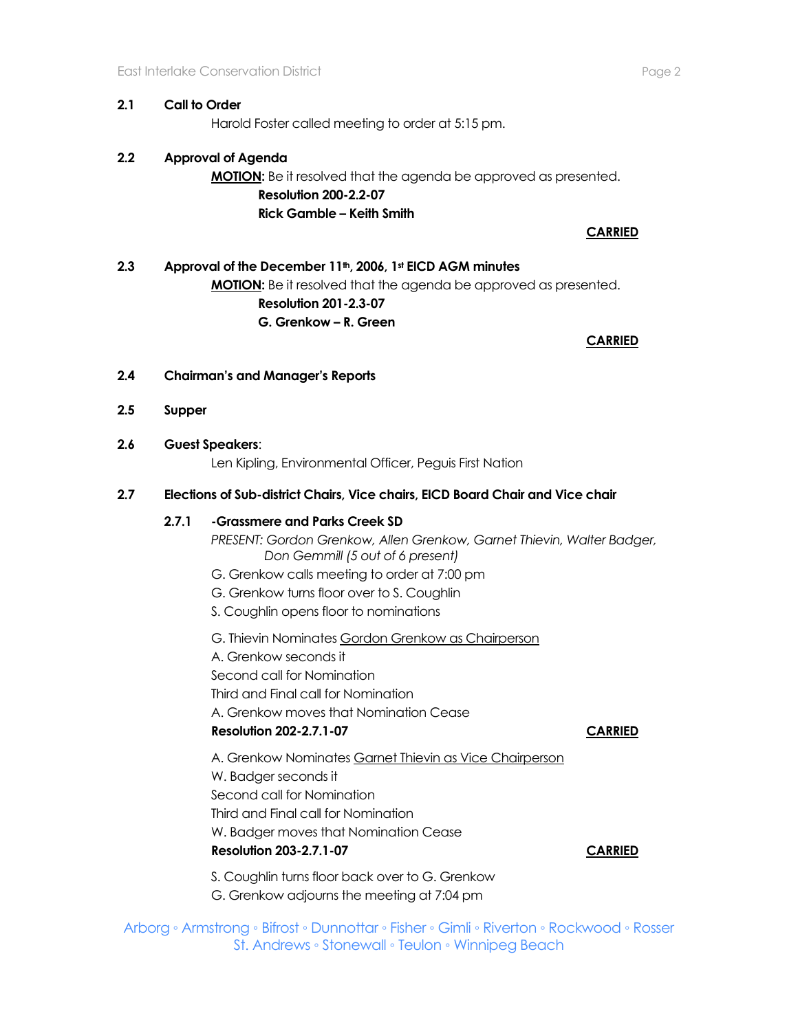### **2.1 Call to Order**

Harold Foster called meeting to order at 5:15 pm.

### **2.2 Approval of Agenda**

**MOTION:** Be it resolved that the agenda be approved as presented. **Resolution 200-2.2-07 Rick Gamble – Keith Smith** 

**CARRIED**

# **2.3 Approval of the December 11th, 2006, 1st EICD AGM minutes MOTION:** Be it resolved that the agenda be approved as presented. **Resolution 201-2.3-07 G. Grenkow – R. Green**

**CARRIED** 

- **2.4 Chairman's and Manager's Reports**
- **2.5 Supper**
- **2.6 Guest Speakers**:

Len Kipling, Environmental Officer, Peguis First Nation

#### **2.7 Elections of Sub-district Chairs, Vice chairs, EICD Board Chair and Vice chair**

#### **2.7.1 -Grassmere and Parks Creek SD**

*PRESENT: Gordon Grenkow, Allen Grenkow, Garnet Thievin, Walter Badger, Don Gemmill (5 out of 6 present)*

- G. Grenkow calls meeting to order at 7:00 pm
- G. Grenkow turns floor over to S. Coughlin
- S. Coughlin opens floor to nominations

G. Thievin Nominates Gordon Grenkow as Chairperson

A. Grenkow seconds it

Second call for Nomination

Third and Final call for Nomination

A. Grenkow moves that Nomination Cease

#### **Resolution 202-2.7.1-07 CARRIED**

A. Grenkow Nominates Garnet Thievin as Vice Chairperson W. Badger seconds it Second call for Nomination Third and Final call for Nomination W. Badger moves that Nomination Cease **Resolution 203-2.7.1-07 CARRIED**

S. Coughlin turns floor back over to G. Grenkow G. Grenkow adjourns the meeting at 7:04 pm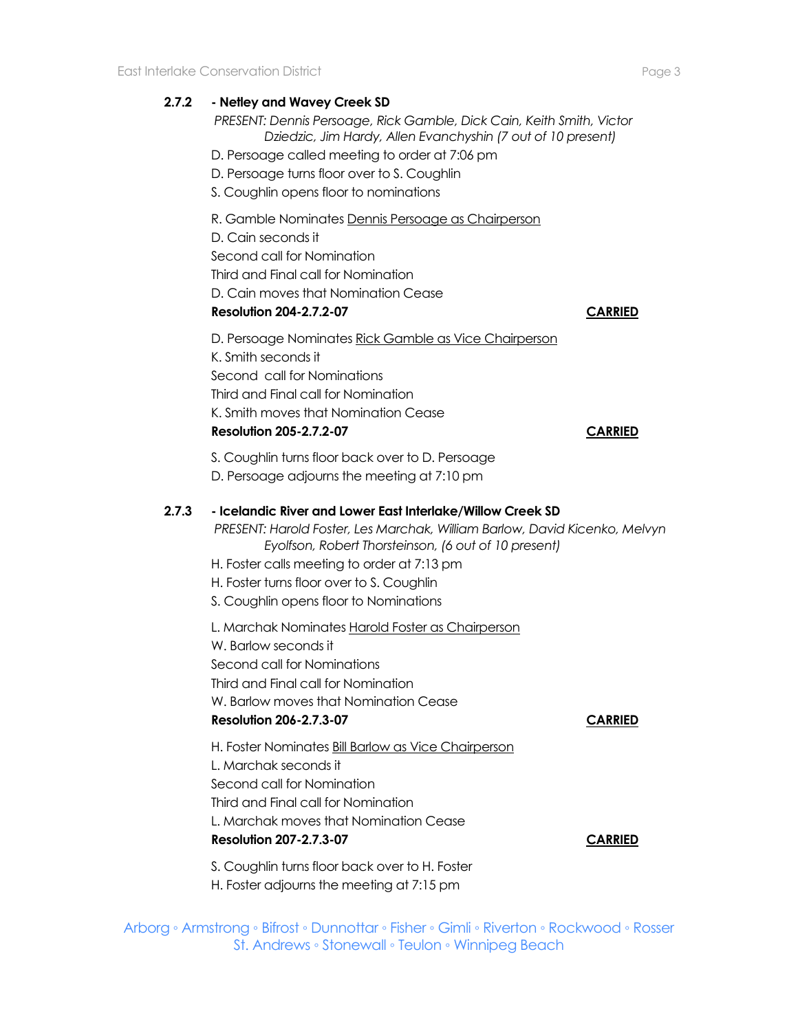### **2.7.2 - Netley and Wavey Creek SD**

*PRESENT: Dennis Persoage, Rick Gamble, Dick Cain, Keith Smith, Victor Dziedzic, Jim Hardy, Allen Evanchyshin (7 out of 10 present)*

- D. Persoage called meeting to order at 7:06 pm
- D. Persoage turns floor over to S. Coughlin
- S. Coughlin opens floor to nominations

R. Gamble Nominates Dennis Persoage as Chairperson

D. Cain seconds it

Second call for Nomination

Third and Final call for Nomination

D. Cain moves that Nomination Cease

### **Resolution 204-2.7.2-07 CARRIED**

D. Persoage Nominates Rick Gamble as Vice Chairperson K. Smith seconds it Second call for Nominations Third and Final call for Nomination K. Smith moves that Nomination Cease **Resolution 205-2.7.2-07 CARRIED**

S. Coughlin turns floor back over to D. Persoage

D. Persoage adjourns the meeting at 7:10 pm

### **2.7.3 - Icelandic River and Lower East Interlake/Willow Creek SD**

*PRESENT: Harold Foster, Les Marchak, William Barlow, David Kicenko, Melvyn Eyolfson, Robert Thorsteinson, (6 out of 10 present)*

- H. Foster calls meeting to order at 7:13 pm
- H. Foster turns floor over to S. Coughlin
- S. Coughlin opens floor to Nominations

L. Marchak Nominates Harold Foster as Chairperson

W. Barlow seconds it

Second call for Nominations

Third and Final call for Nomination

W. Barlow moves that Nomination Cease

#### **Resolution 206-2.7.3-07 CARRIED**

H. Foster Nominates Bill Barlow as Vice Chairperson L. Marchak seconds it Second call for Nomination Third and Final call for Nomination L. Marchak moves that Nomination Cease

**Resolution 207-2.7.3-07 CARRIED**

S. Coughlin turns floor back over to H. Foster

H. Foster adjourns the meeting at 7:15 pm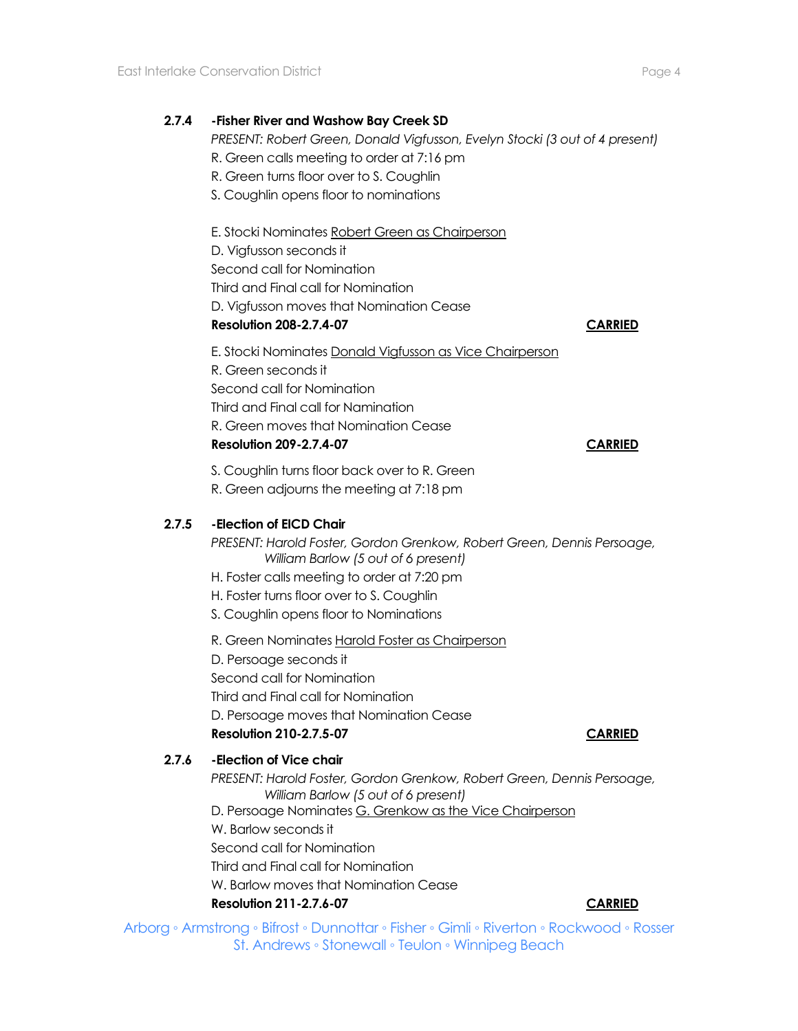*PRESENT: Robert Green, Donald Vigfusson, Evelyn Stocki (3 out of 4 present)*

- R. Green calls meeting to order at 7:16 pm
- R. Green turns floor over to S. Coughlin
- S. Coughlin opens floor to nominations

E. Stocki Nominates Robert Green as Chairperson

D. Vigfusson seconds it Second call for Nomination Third and Final call for Nomination D. Vigfusson moves that Nomination Cease

**Resolution 208-2.7.4-07 CARRIED**

E. Stocki Nominates Donald Vigfusson as Vice Chairperson R. Green seconds it Second call for Nomination Third and Final call for Namination R. Green moves that Nomination Cease

#### **Resolution 209-2.7.4-07 CARRIED**

S. Coughlin turns floor back over to R. Green

R. Green adjourns the meeting at 7:18 pm

# **2.7.5 -Election of EICD Chair**

*PRESENT: Harold Foster, Gordon Grenkow, Robert Green, Dennis Persoage, William Barlow (5 out of 6 present)*

- H. Foster calls meeting to order at 7:20 pm
- H. Foster turns floor over to S. Coughlin

S. Coughlin opens floor to Nominations

R. Green Nominates Harold Foster as Chairperson

D. Persoage seconds it

Second call for Nomination

Third and Final call for Nomination

D. Persoage moves that Nomination Cease

# **Resolution 210-2.7.5-07 CARRIED**

**2.7.6 -Election of Vice chair** 

*PRESENT: Harold Foster, Gordon Grenkow, Robert Green, Dennis Persoage, William Barlow (5 out of 6 present)*

D. Persoage Nominates G. Grenkow as the Vice Chairperson

W. Barlow seconds it

Second call for Nomination

Third and Final call for Nomination

W. Barlow moves that Nomination Cease

#### **Resolution 211-2.7.6-07 CARRIED**